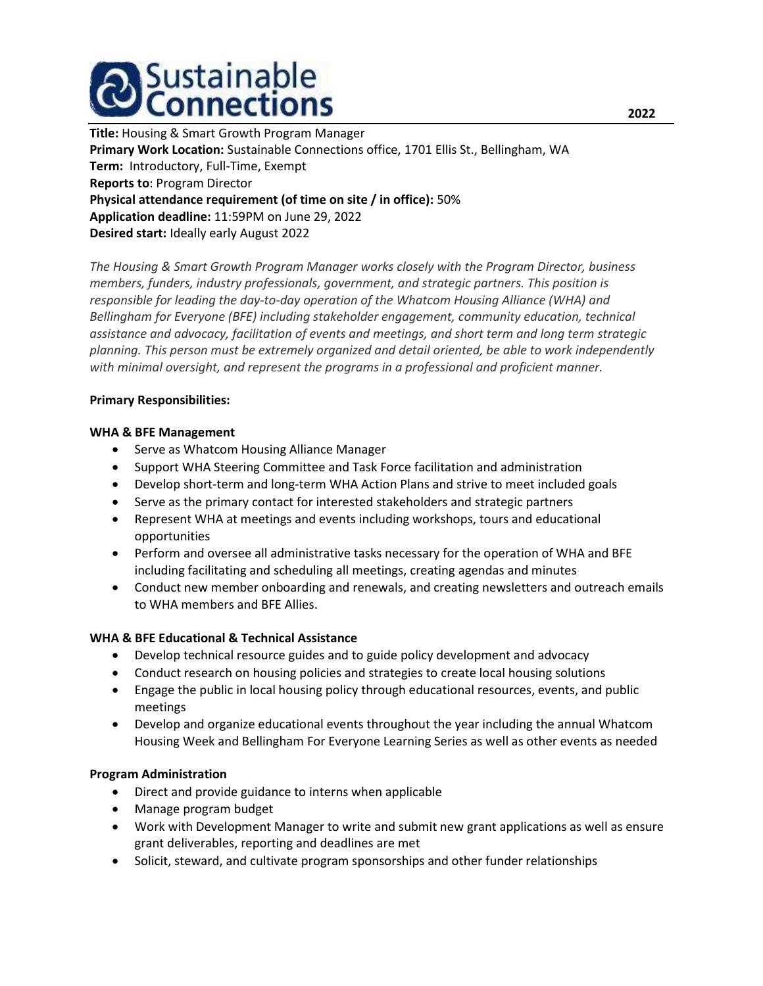

Title: Housing & Smart Growth Program Manager Primary Work Location: Sustainable Connections office, 1701 Ellis St., Bellingham, WA Term: Introductory, Full-Time, Exempt Reports to: Program Director Physical attendance requirement (of time on site / in office): 50% Application deadline: 11:59PM on June 29, 2022 Desired start: Ideally early August 2022

The Housing & Smart Growth Program Manager works closely with the Program Director, business members, funders, industry professionals, government, and strategic partners. This position is responsible for leading the day-to-day operation of the Whatcom Housing Alliance (WHA) and Bellingham for Everyone (BFE) including stakeholder engagement, community education, technical assistance and advocacy, facilitation of events and meetings, and short term and long term strategic planning. This person must be extremely organized and detail oriented, be able to work independently with minimal oversight, and represent the programs in a professional and proficient manner.

#### Primary Responsibilities:

#### WHA & BFE Management

- Serve as Whatcom Housing Alliance Manager
- Support WHA Steering Committee and Task Force facilitation and administration
- Develop short-term and long-term WHA Action Plans and strive to meet included goals
- Serve as the primary contact for interested stakeholders and strategic partners
- Represent WHA at meetings and events including workshops, tours and educational opportunities
- Perform and oversee all administrative tasks necessary for the operation of WHA and BFE including facilitating and scheduling all meetings, creating agendas and minutes
- Conduct new member onboarding and renewals, and creating newsletters and outreach emails to WHA members and BFE Allies.

## WHA & BFE Educational & Technical Assistance

- Develop technical resource guides and to guide policy development and advocacy
- Conduct research on housing policies and strategies to create local housing solutions
- Engage the public in local housing policy through educational resources, events, and public meetings
- Develop and organize educational events throughout the year including the annual Whatcom Housing Week and Bellingham For Everyone Learning Series as well as other events as needed

## Program Administration

- Direct and provide guidance to interns when applicable
- Manage program budget
- Work with Development Manager to write and submit new grant applications as well as ensure grant deliverables, reporting and deadlines are met
- Solicit, steward, and cultivate program sponsorships and other funder relationships